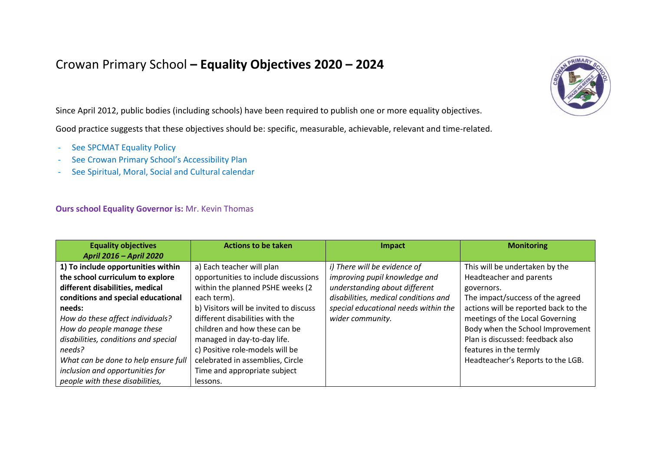## Crowan Primary School **– Equality Objectives 2020 – 2024**

Since April 2012, public bodies (including schools) have been required to publish one or more equality objectives.

Good practice suggests that these objectives should be: specific, measurable, achievable, relevant and time-related.

- See SPCMAT Equality Policy
- See Crowan Primary School's Accessibility Plan
- See Spiritual, Moral, Social and Cultural calendar

## **Ours school Equality Governor is:** Mr. Kevin Thomas

| <b>Equality objectives</b>           | <b>Actions to be taken</b>             | Impact                               | <b>Monitoring</b>                    |
|--------------------------------------|----------------------------------------|--------------------------------------|--------------------------------------|
| April 2016 - April 2020              |                                        |                                      |                                      |
| 1) To include opportunities within   | a) Each teacher will plan              | i) There will be evidence of         | This will be undertaken by the       |
| the school curriculum to explore     | opportunities to include discussions   | improving pupil knowledge and        | Headteacher and parents              |
| different disabilities, medical      | within the planned PSHE weeks (2       | understanding about different        | governors.                           |
| conditions and special educational   | each term).                            | disabilities, medical conditions and | The impact/success of the agreed     |
| needs:                               | b) Visitors will be invited to discuss | special educational needs within the | actions will be reported back to the |
| How do these affect individuals?     | different disabilities with the        | wider community.                     | meetings of the Local Governing      |
| How do people manage these           | children and how these can be          |                                      | Body when the School Improvement     |
| disabilities, conditions and special | managed in day-to-day life.            |                                      | Plan is discussed: feedback also     |
| needs?                               | c) Positive role-models will be        |                                      | features in the termly               |
| What can be done to help ensure full | celebrated in assemblies, Circle       |                                      | Headteacher's Reports to the LGB.    |
| inclusion and opportunities for      | Time and appropriate subject           |                                      |                                      |
| people with these disabilities,      | lessons.                               |                                      |                                      |

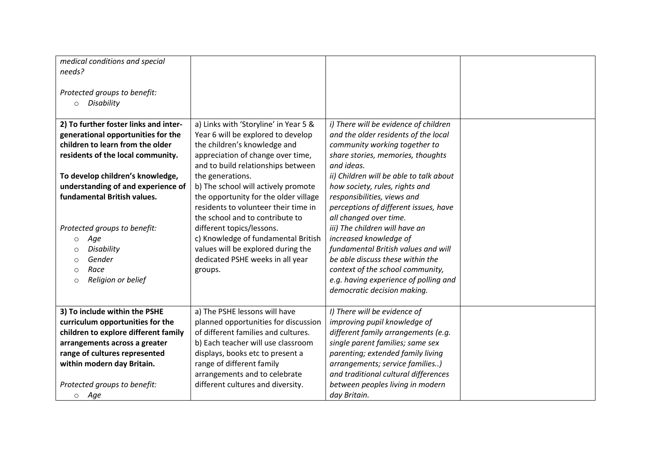| medical conditions and special<br>needs?<br>Protected groups to benefit:<br>Disability<br>$\circ$                                                                                                                                                                                                                                                                                                                 |                                                                                                                                                                                                                                                                                                                                                                                                                                                                                                                                |                                                                                                                                                                                                                                                                                                                                                                                                                                                                                                                                                                                                     |  |
|-------------------------------------------------------------------------------------------------------------------------------------------------------------------------------------------------------------------------------------------------------------------------------------------------------------------------------------------------------------------------------------------------------------------|--------------------------------------------------------------------------------------------------------------------------------------------------------------------------------------------------------------------------------------------------------------------------------------------------------------------------------------------------------------------------------------------------------------------------------------------------------------------------------------------------------------------------------|-----------------------------------------------------------------------------------------------------------------------------------------------------------------------------------------------------------------------------------------------------------------------------------------------------------------------------------------------------------------------------------------------------------------------------------------------------------------------------------------------------------------------------------------------------------------------------------------------------|--|
| 2) To further foster links and inter-<br>generational opportunities for the<br>children to learn from the older<br>residents of the local community.<br>To develop children's knowledge,<br>understanding of and experience of<br>fundamental British values.<br>Protected groups to benefit:<br>Age<br>$\circ$<br>Disability<br>$\circ$<br>Gender<br>$\circ$<br>Race<br>$\circ$<br>Religion or belief<br>$\circ$ | a) Links with 'Storyline' in Year 5 &<br>Year 6 will be explored to develop<br>the children's knowledge and<br>appreciation of change over time,<br>and to build relationships between<br>the generations.<br>b) The school will actively promote<br>the opportunity for the older village<br>residents to volunteer their time in<br>the school and to contribute to<br>different topics/lessons.<br>c) Knowledge of fundamental British<br>values will be explored during the<br>dedicated PSHE weeks in all year<br>groups. | i) There will be evidence of children<br>and the older residents of the local<br>community working together to<br>share stories, memories, thoughts<br>and ideas.<br>ii) Children will be able to talk about<br>how society, rules, rights and<br>responsibilities, views and<br>perceptions of different issues, have<br>all changed over time.<br>iii) The children will have an<br>increased knowledge of<br>fundamental British values and will<br>be able discuss these within the<br>context of the school community,<br>e.g. having experience of polling and<br>democratic decision making. |  |
| 3) To include within the PSHE<br>curriculum opportunities for the<br>children to explore different family<br>arrangements across a greater<br>range of cultures represented<br>within modern day Britain.<br>Protected groups to benefit:<br>o Age                                                                                                                                                                | a) The PSHE lessons will have<br>planned opportunities for discussion<br>of different families and cultures.<br>b) Each teacher will use classroom<br>displays, books etc to present a<br>range of different family<br>arrangements and to celebrate<br>different cultures and diversity.                                                                                                                                                                                                                                      | I) There will be evidence of<br>improving pupil knowledge of<br>different family arrangements (e.g.<br>single parent families; same sex<br>parenting; extended family living<br>arrangements; service families)<br>and traditional cultural differences<br>between peoples living in modern<br>day Britain.                                                                                                                                                                                                                                                                                         |  |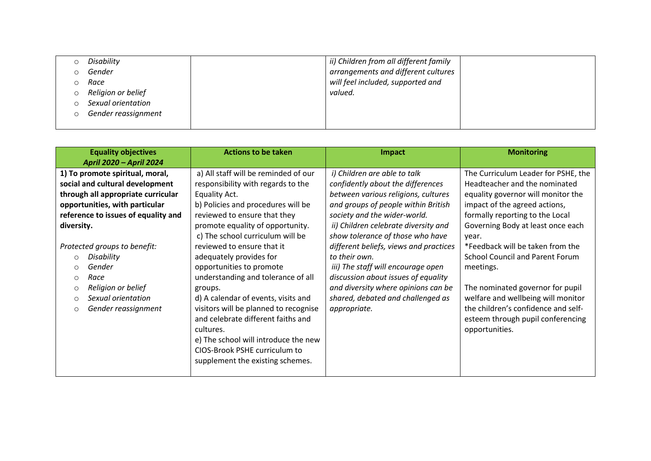|   | Disability          | ii) Children from all different family |  |
|---|---------------------|----------------------------------------|--|
|   | Gender              | arrangements and different cultures    |  |
|   | Race                | will feel included, supported and      |  |
| O | Religion or belief  | valued.                                |  |
|   | Sexual orientation  |                                        |  |
|   | Gender reassignment |                                        |  |
|   |                     |                                        |  |

|            | <b>Equality objectives</b>          | <b>Actions to be taken</b>            | Impact                                 | <b>Monitoring</b>                      |
|------------|-------------------------------------|---------------------------------------|----------------------------------------|----------------------------------------|
|            | April 2020 - April 2024             |                                       |                                        |                                        |
|            | 1) To promote spiritual, moral,     | a) All staff will be reminded of our  | i) Children are able to talk           | The Curriculum Leader for PSHE, the    |
|            | social and cultural development     | responsibility with regards to the    | confidently about the differences      | Headteacher and the nominated          |
|            | through all appropriate curricular  | Equality Act.                         | between various religions, cultures    | equality governor will monitor the     |
|            | opportunities, with particular      | b) Policies and procedures will be    | and groups of people within British    | impact of the agreed actions,          |
|            | reference to issues of equality and | reviewed to ensure that they          | society and the wider-world.           | formally reporting to the Local        |
| diversity. |                                     | promote equality of opportunity.      | ii) Children celebrate diversity and   | Governing Body at least once each      |
|            |                                     | c) The school curriculum will be      | show tolerance of those who have       | vear.                                  |
|            | Protected groups to benefit:        | reviewed to ensure that it            | different beliefs, views and practices | *Feedback will be taken from the       |
| $\circ$    | Disability                          | adequately provides for               | to their own.                          | <b>School Council and Parent Forum</b> |
| $\circ$    | Gender                              | opportunities to promote              | iii) The staff will encourage open     | meetings.                              |
| $\circ$    | Race                                | understanding and tolerance of all    | discussion about issues of equality    |                                        |
| $\circ$    | Religion or belief                  | groups.                               | and diversity where opinions can be    | The nominated governor for pupil       |
|            | Sexual orientation                  | d) A calendar of events, visits and   | shared, debated and challenged as      | welfare and wellbeing will monitor     |
|            | Gender reassignment                 | visitors will be planned to recognise | appropriate.                           | the children's confidence and self-    |
|            |                                     | and celebrate different faiths and    |                                        | esteem through pupil conferencing      |
|            |                                     | cultures.                             |                                        | opportunities.                         |
|            |                                     | e) The school will introduce the new  |                                        |                                        |
|            |                                     | CIOS-Brook PSHE curriculum to         |                                        |                                        |
|            |                                     | supplement the existing schemes.      |                                        |                                        |
|            |                                     |                                       |                                        |                                        |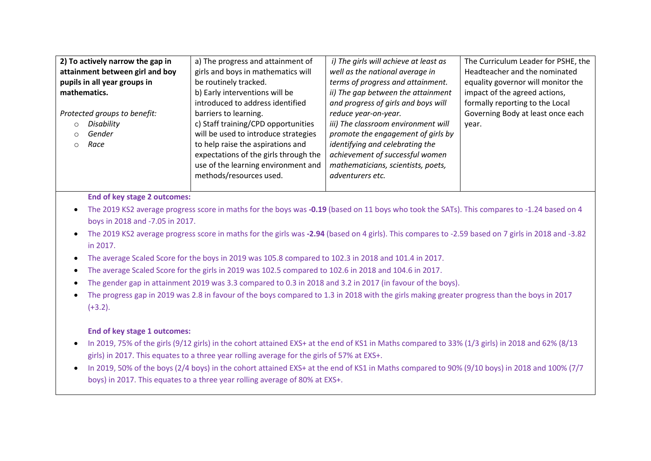| 2) To actively narrow the gap in | a) The progress and attainment of     | i) The girls will achieve at least as | The Curriculum Leader for PSHE, the |
|----------------------------------|---------------------------------------|---------------------------------------|-------------------------------------|
| attainment between girl and boy  | girls and boys in mathematics will    | well as the national average in       | Headteacher and the nominated       |
| pupils in all year groups in     | be routinely tracked.                 | terms of progress and attainment.     | equality governor will monitor the  |
| mathematics.                     | b) Early interventions will be        | ii) The gap between the attainment    | impact of the agreed actions,       |
|                                  | introduced to address identified      | and progress of girls and boys will   | formally reporting to the Local     |
| Protected groups to benefit:     | barriers to learning.                 | reduce year-on-year.                  | Governing Body at least once each   |
| Disability                       | c) Staff training/CPD opportunities   | iii) The classroom environment will   | vear.                               |
| Gender                           | will be used to introduce strategies  | promote the engagement of girls by    |                                     |
| Race<br>$\Omega$                 | to help raise the aspirations and     | identifying and celebrating the       |                                     |
|                                  | expectations of the girls through the | achievement of successful women       |                                     |
|                                  | use of the learning environment and   | mathematicians, scientists, poets,    |                                     |
|                                  | methods/resources used.               | adventurers etc.                      |                                     |
|                                  |                                       |                                       |                                     |

## **End of key stage 2 outcomes:**

- The 2019 KS2 average progress score in maths for the boys was **-0.19** (based on 11 boys who took the SATs). This compares to -1.24 based on 4 boys in 2018 and -7.05 in 2017.
- The 2019 KS2 average progress score in maths for the girls was **-2.94** (based on 4 girls). This compares to -2.59 based on 7 girls in 2018 and -3.82 in 2017.
- The average Scaled Score for the boys in 2019 was 105.8 compared to 102.3 in 2018 and 101.4 in 2017.
- The average Scaled Score for the girls in 2019 was 102.5 compared to 102.6 in 2018 and 104.6 in 2017.
- The gender gap in attainment 2019 was 3.3 compared to 0.3 in 2018 and 3.2 in 2017 (in favour of the boys).
- The progress gap in 2019 was 2.8 in favour of the boys compared to 1.3 in 2018 with the girls making greater progress than the boys in 2017  $(+3.2)$ .

## **End of key stage 1 outcomes:**

- In 2019, 75% of the girls (9/12 girls) in the cohort attained EXS+ at the end of KS1 in Maths compared to 33% (1/3 girls) in 2018 and 62% (8/13 girls) in 2017. This equates to a three year rolling average for the girls of 57% at EXS+.
- In 2019, 50% of the boys (2/4 boys) in the cohort attained EXS+ at the end of KS1 in Maths compared to 90% (9/10 boys) in 2018 and 100% (7/7 boys) in 2017. This equates to a three year rolling average of 80% at EXS+.